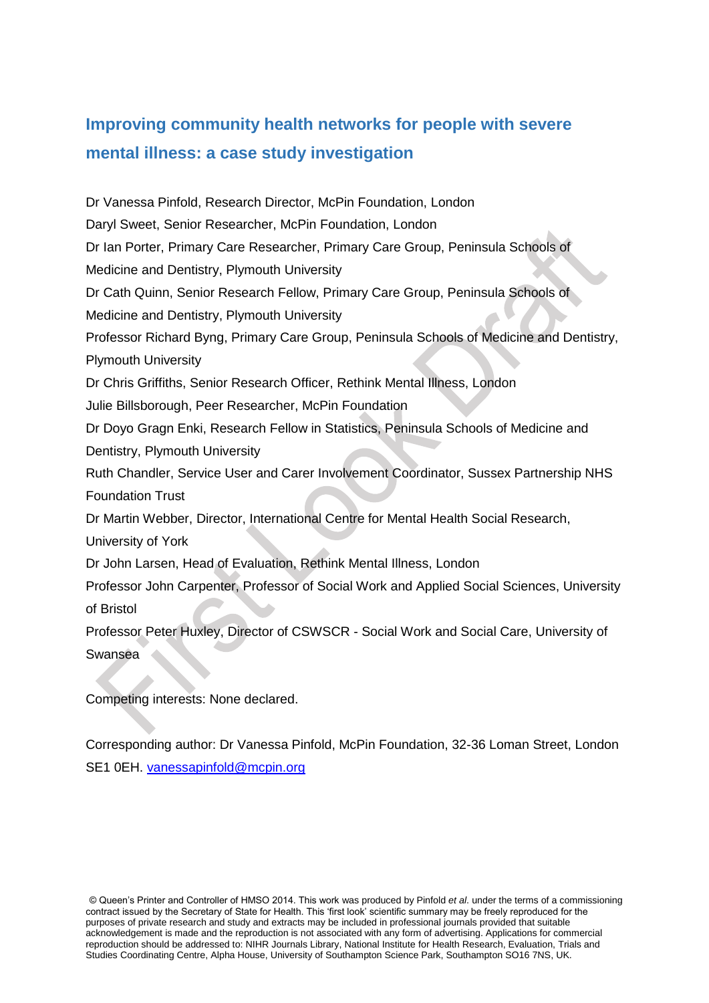# **Improving community health networks for people with severe mental illness: a case study investigation**

Dr Vanessa Pinfold, Research Director, McPin Foundation, London Daryl Sweet, Senior Researcher, McPin Foundation, London Dr Ian Porter, Primary Care Researcher, Primary Care Group, Peninsula Schools of Medicine and Dentistry, Plymouth University Dr Cath Quinn, Senior Research Fellow, Primary Care Group, Peninsula Schools of Medicine and Dentistry, Plymouth University Professor Richard Byng, Primary Care Group, Peninsula Schools of Medicine and Dentistry, Plymouth University Dr Chris Griffiths, Senior Research Officer, Rethink Mental Illness, London Julie Billsborough, Peer Researcher, McPin Foundation Dr Doyo Gragn Enki, Research Fellow in Statistics, Peninsula Schools of Medicine and Dentistry, Plymouth University Ruth Chandler, Service User and Carer Involvement Coordinator, Sussex Partnership NHS Foundation Trust Dr Martin Webber, Director, International Centre for Mental Health Social Research, University of York Dr John Larsen, Head of Evaluation, Rethink Mental Illness, London Professor John Carpenter, Professor of Social Work and Applied Social Sciences, University of Bristol Professor Peter Huxley, Director of CSWSCR - Social Work and Social Care, University of Swansea

Competing interests: None declared.

Corresponding author: Dr Vanessa Pinfold, McPin Foundation, 32-36 Loman Street, London SE1 0EH. [vanessapinfold@mcpin.org](mailto:vanessapinfold@mcpin.org)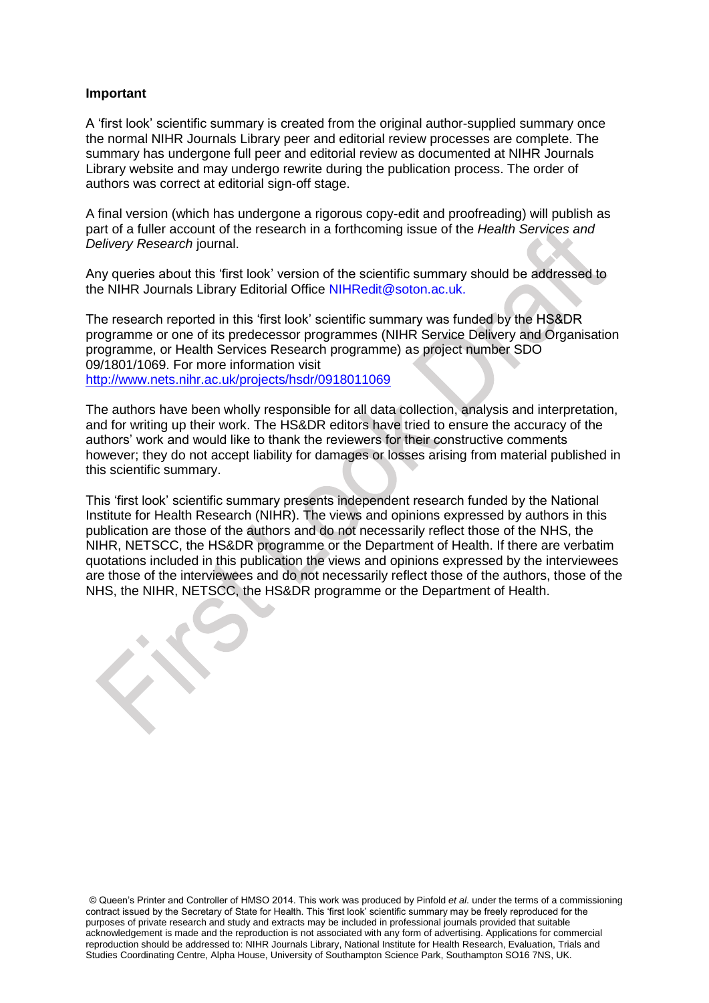### **Important**

A 'first look' scientific summary is created from the original author-supplied summary once the normal NIHR Journals Library peer and editorial review processes are complete. The summary has undergone full peer and editorial review as documented at NIHR Journals Library website and may undergo rewrite during the publication process. The order of authors was correct at editorial sign-off stage.

A final version (which has undergone a rigorous copy-edit and proofreading) will publish as part of a fuller account of the research in a forthcoming issue of the *Health Services and Delivery Research* journal.

Any queries about this 'first look' version of the scientific summary should be addressed to the NIHR Journals Library Editorial Office NIHRedit@soton.ac.uk.

The research reported in this 'first look' scientific summary was funded by the HS&DR programme or one of its predecessor programmes (NIHR Service Delivery and Organisation programme, or Health Services Research programme) as project number SDO 09/1801/1069. For more information visit <http://www.nets.nihr.ac.uk/projects/hsdr/0918011069>

The authors have been wholly responsible for all data collection, analysis and interpretation, and for writing up their work. The HS&DR editors have tried to ensure the accuracy of the authors' work and would like to thank the reviewers for their constructive comments however; they do not accept liability for damages or losses arising from material published in this scientific summary.

This 'first look' scientific summary presents independent research funded by the National Institute for Health Research (NIHR). The views and opinions expressed by authors in this publication are those of the authors and do not necessarily reflect those of the NHS, the NIHR, NETSCC, the HS&DR programme or the Department of Health. If there are verbatim quotations included in this publication the views and opinions expressed by the interviewees are those of the interviewees and do not necessarily reflect those of the authors, those of the NHS, the NIHR, NETSCC, the HS&DR programme or the Department of Health.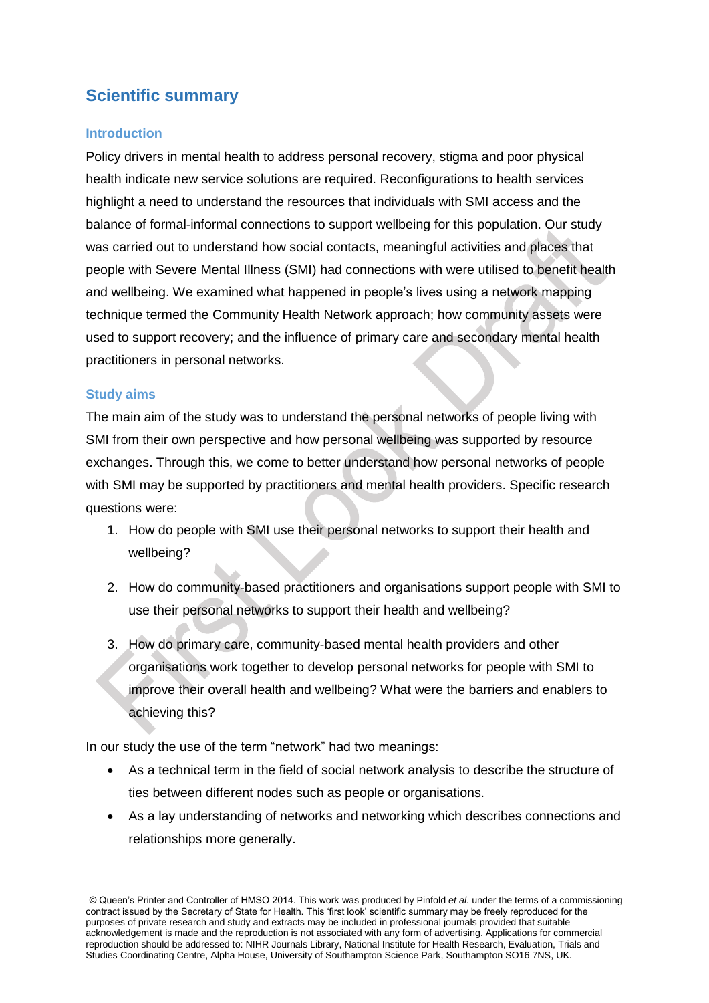# **Scientific summary**

### **Introduction**

Policy drivers in mental health to address personal recovery, stigma and poor physical health indicate new service solutions are required. Reconfigurations to health services highlight a need to understand the resources that individuals with SMI access and the balance of formal-informal connections to support wellbeing for this population. Our study was carried out to understand how social contacts, meaningful activities and places that people with Severe Mental Illness (SMI) had connections with were utilised to benefit health and wellbeing. We examined what happened in people's lives using a network mapping technique termed the Community Health Network approach; how community assets were used to support recovery; and the influence of primary care and secondary mental health practitioners in personal networks.

### **Study aims**

The main aim of the study was to understand the personal networks of people living with SMI from their own perspective and how personal wellbeing was supported by resource exchanges. Through this, we come to better understand how personal networks of people with SMI may be supported by practitioners and mental health providers. Specific research questions were:

- 1. How do people with SMI use their personal networks to support their health and wellbeing?
- 2. How do community-based practitioners and organisations support people with SMI to use their personal networks to support their health and wellbeing?
- 3. How do primary care, community-based mental health providers and other organisations work together to develop personal networks for people with SMI to improve their overall health and wellbeing? What were the barriers and enablers to achieving this?

In our study the use of the term "network" had two meanings:

- As a technical term in the field of social network analysis to describe the structure of ties between different nodes such as people or organisations.
- As a lay understanding of networks and networking which describes connections and relationships more generally.

<sup>©</sup> Queen's Printer and Controller of HMSO 2014. This work was produced by Pinfold *et al*. under the terms of a commissioning contract issued by the Secretary of State for Health. This 'first look' scientific summary may be freely reproduced for the purposes of private research and study and extracts may be included in professional journals provided that suitable acknowledgement is made and the reproduction is not associated with any form of advertising. Applications for commercial reproduction should be addressed to: NIHR Journals Library, National Institute for Health Research, Evaluation, Trials and Studies Coordinating Centre, Alpha House, University of Southampton Science Park, Southampton SO16 7NS, UK.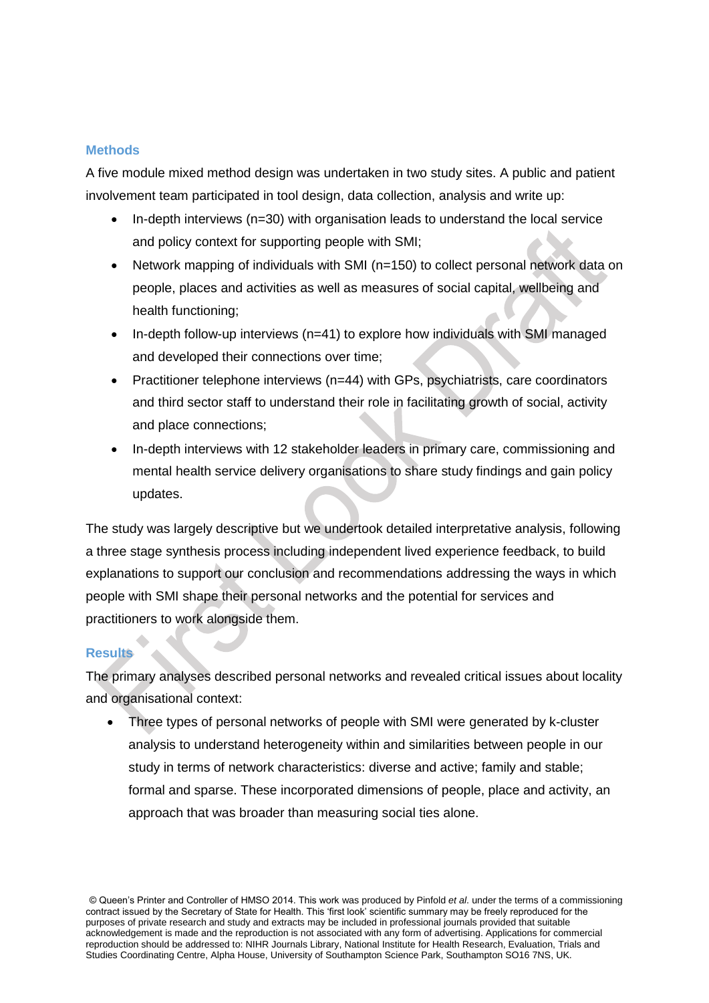### **Methods**

A five module mixed method design was undertaken in two study sites. A public and patient involvement team participated in tool design, data collection, analysis and write up:

- In-depth interviews (n=30) with organisation leads to understand the local service and policy context for supporting people with SMI;
- Network mapping of individuals with SMI (n=150) to collect personal network data on people, places and activities as well as measures of social capital, wellbeing and health functioning;
- $\bullet$  In-depth follow-up interviews (n=41) to explore how individuals with SMI managed and developed their connections over time;
- Practitioner telephone interviews (n=44) with GPs, psychiatrists, care coordinators and third sector staff to understand their role in facilitating growth of social, activity and place connections;
- In-depth interviews with 12 stakeholder leaders in primary care, commissioning and mental health service delivery organisations to share study findings and gain policy updates.

The study was largely descriptive but we undertook detailed interpretative analysis, following a three stage synthesis process including independent lived experience feedback, to build explanations to support our conclusion and recommendations addressing the ways in which people with SMI shape their personal networks and the potential for services and practitioners to work alongside them.

### **Results**

The primary analyses described personal networks and revealed critical issues about locality and organisational context:

 Three types of personal networks of people with SMI were generated by k-cluster analysis to understand heterogeneity within and similarities between people in our study in terms of network characteristics: diverse and active; family and stable; formal and sparse. These incorporated dimensions of people, place and activity, an approach that was broader than measuring social ties alone.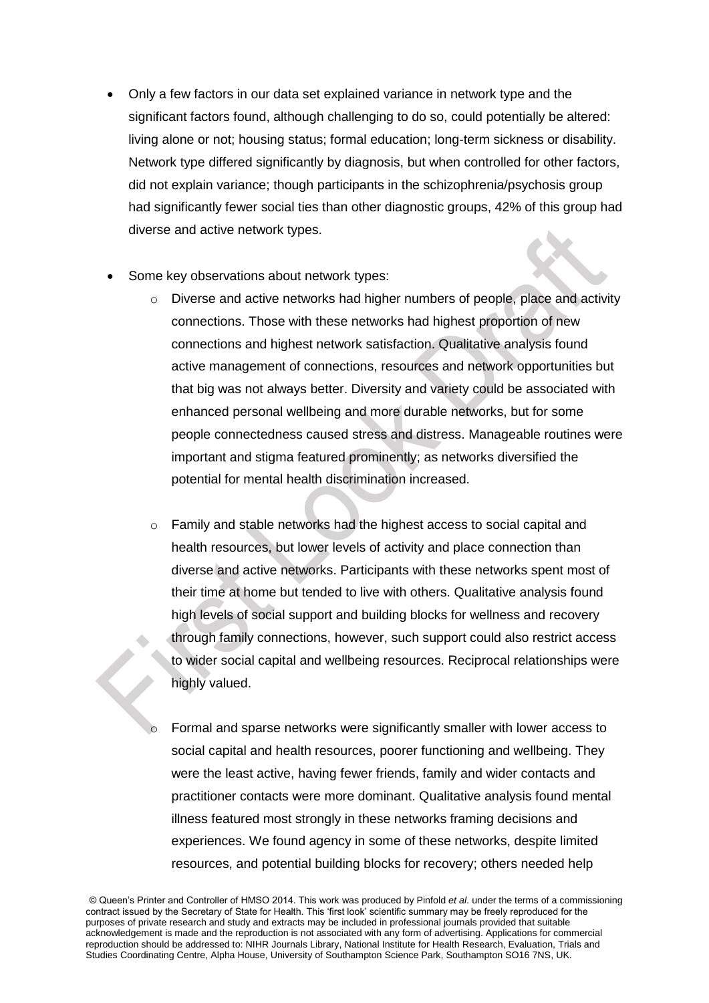- Only a few factors in our data set explained variance in network type and the significant factors found, although challenging to do so, could potentially be altered: living alone or not; housing status; formal education; long-term sickness or disability. Network type differed significantly by diagnosis, but when controlled for other factors, did not explain variance; though participants in the schizophrenia/psychosis group had significantly fewer social ties than other diagnostic groups, 42% of this group had diverse and active network types.
- Some key observations about network types:
	- o Diverse and active networks had higher numbers of people, place and activity connections. Those with these networks had highest proportion of new connections and highest network satisfaction. Qualitative analysis found active management of connections, resources and network opportunities but that big was not always better. Diversity and variety could be associated with enhanced personal wellbeing and more durable networks, but for some people connectedness caused stress and distress. Manageable routines were important and stigma featured prominently; as networks diversified the potential for mental health discrimination increased.
	- o Family and stable networks had the highest access to social capital and health resources, but lower levels of activity and place connection than diverse and active networks. Participants with these networks spent most of their time at home but tended to live with others. Qualitative analysis found high levels of social support and building blocks for wellness and recovery through family connections, however, such support could also restrict access to wider social capital and wellbeing resources. Reciprocal relationships were highly valued.
	- Formal and sparse networks were significantly smaller with lower access to social capital and health resources, poorer functioning and wellbeing. They were the least active, having fewer friends, family and wider contacts and practitioner contacts were more dominant. Qualitative analysis found mental illness featured most strongly in these networks framing decisions and experiences. We found agency in some of these networks, despite limited resources, and potential building blocks for recovery; others needed help

<sup>©</sup> Queen's Printer and Controller of HMSO 2014. This work was produced by Pinfold *et al*. under the terms of a commissioning contract issued by the Secretary of State for Health. This 'first look' scientific summary may be freely reproduced for the purposes of private research and study and extracts may be included in professional journals provided that suitable acknowledgement is made and the reproduction is not associated with any form of advertising. Applications for commercial reproduction should be addressed to: NIHR Journals Library, National Institute for Health Research, Evaluation, Trials and Studies Coordinating Centre, Alpha House, University of Southampton Science Park, Southampton SO16 7NS, UK.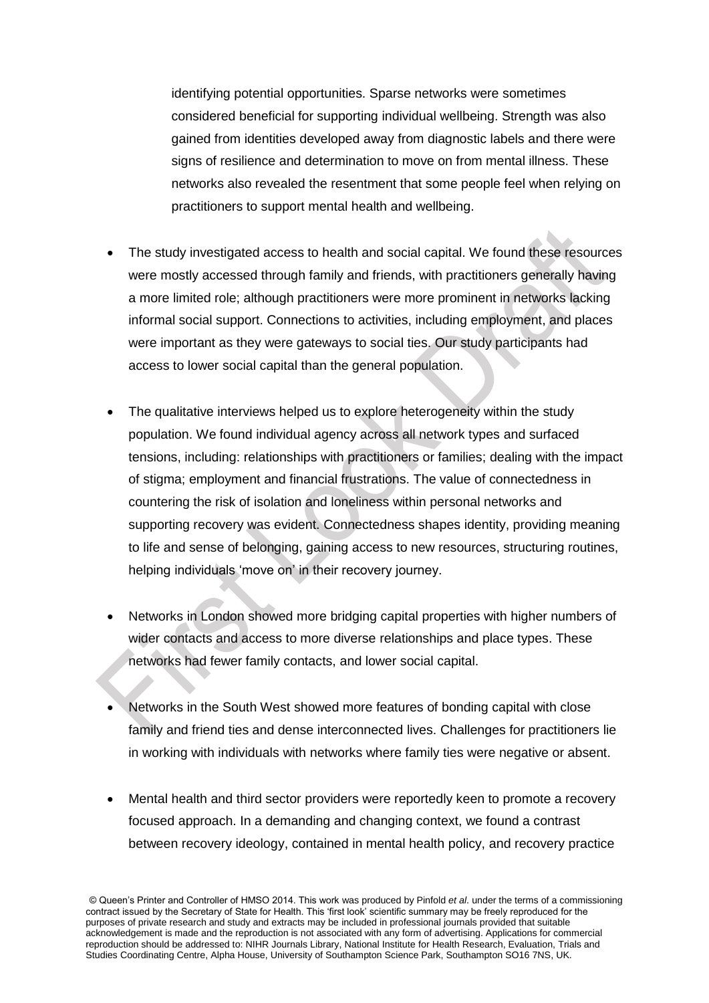identifying potential opportunities. Sparse networks were sometimes considered beneficial for supporting individual wellbeing. Strength was also gained from identities developed away from diagnostic labels and there were signs of resilience and determination to move on from mental illness. These networks also revealed the resentment that some people feel when relying on practitioners to support mental health and wellbeing.

- The study investigated access to health and social capital. We found these resources were mostly accessed through family and friends, with practitioners generally having a more limited role; although practitioners were more prominent in networks lacking informal social support. Connections to activities, including employment, and places were important as they were gateways to social ties. Our study participants had access to lower social capital than the general population.
- The qualitative interviews helped us to explore heterogeneity within the study population. We found individual agency across all network types and surfaced tensions, including: relationships with practitioners or families; dealing with the impact of stigma; employment and financial frustrations. The value of connectedness in countering the risk of isolation and loneliness within personal networks and supporting recovery was evident. Connectedness shapes identity, providing meaning to life and sense of belonging, gaining access to new resources, structuring routines, helping individuals 'move on' in their recovery journey.
- Networks in London showed more bridging capital properties with higher numbers of wider contacts and access to more diverse relationships and place types. These networks had fewer family contacts, and lower social capital.
- Networks in the South West showed more features of bonding capital with close family and friend ties and dense interconnected lives. Challenges for practitioners lie in working with individuals with networks where family ties were negative or absent.
- Mental health and third sector providers were reportedly keen to promote a recovery focused approach. In a demanding and changing context, we found a contrast between recovery ideology, contained in mental health policy, and recovery practice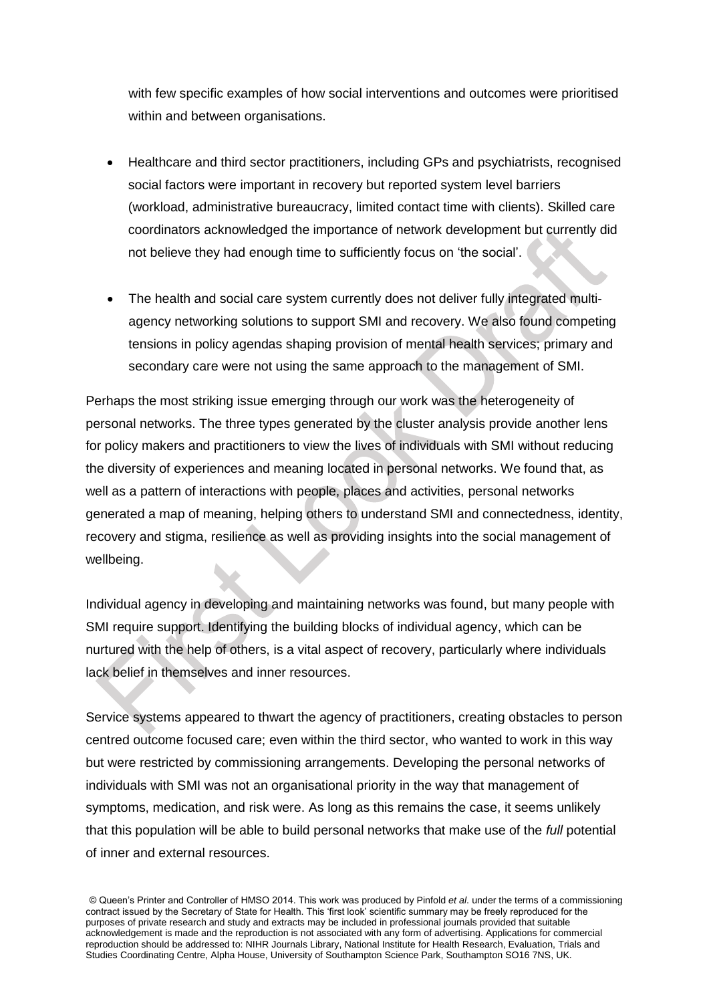with few specific examples of how social interventions and outcomes were prioritised within and between organisations.

- Healthcare and third sector practitioners, including GPs and psychiatrists, recognised social factors were important in recovery but reported system level barriers (workload, administrative bureaucracy, limited contact time with clients). Skilled care coordinators acknowledged the importance of network development but currently did not believe they had enough time to sufficiently focus on 'the social'.
- The health and social care system currently does not deliver fully integrated multiagency networking solutions to support SMI and recovery. We also found competing tensions in policy agendas shaping provision of mental health services; primary and secondary care were not using the same approach to the management of SMI.

Perhaps the most striking issue emerging through our work was the heterogeneity of personal networks. The three types generated by the cluster analysis provide another lens for policy makers and practitioners to view the lives of individuals with SMI without reducing the diversity of experiences and meaning located in personal networks. We found that, as well as a pattern of interactions with people, places and activities, personal networks generated a map of meaning, helping others to understand SMI and connectedness, identity, recovery and stigma, resilience as well as providing insights into the social management of wellbeing.

Individual agency in developing and maintaining networks was found, but many people with SMI require support. Identifying the building blocks of individual agency, which can be nurtured with the help of others, is a vital aspect of recovery, particularly where individuals lack belief in themselves and inner resources.

Service systems appeared to thwart the agency of practitioners, creating obstacles to person centred outcome focused care; even within the third sector, who wanted to work in this way but were restricted by commissioning arrangements. Developing the personal networks of individuals with SMI was not an organisational priority in the way that management of symptoms, medication, and risk were. As long as this remains the case, it seems unlikely that this population will be able to build personal networks that make use of the *full* potential of inner and external resources.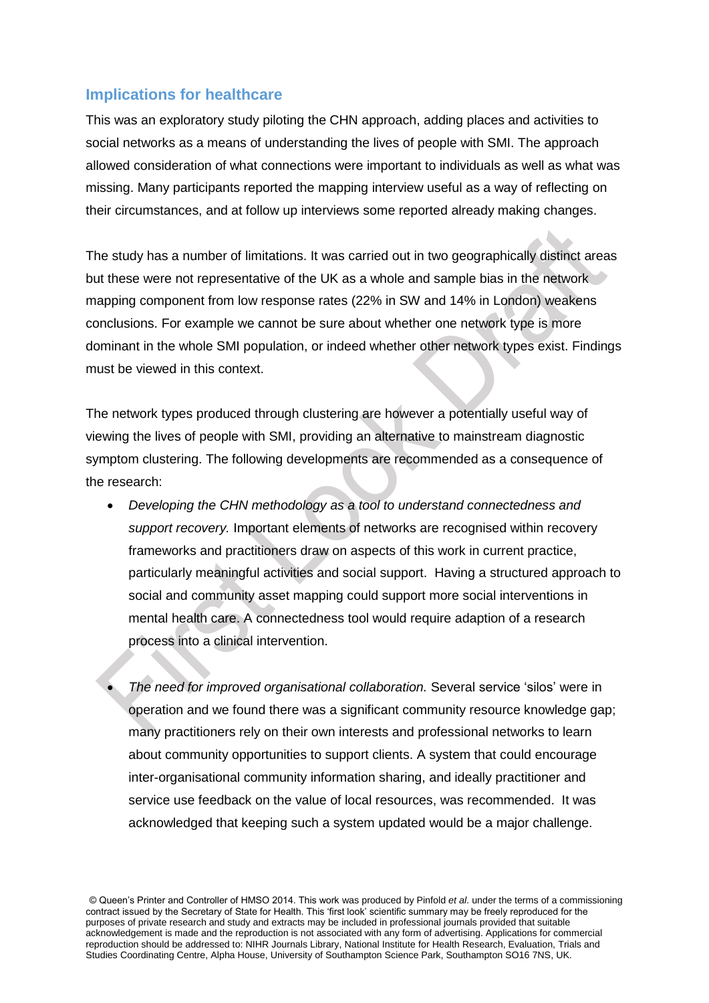### **Implications for healthcare**

This was an exploratory study piloting the CHN approach, adding places and activities to social networks as a means of understanding the lives of people with SMI. The approach allowed consideration of what connections were important to individuals as well as what was missing. Many participants reported the mapping interview useful as a way of reflecting on their circumstances, and at follow up interviews some reported already making changes.

The study has a number of limitations. It was carried out in two geographically distinct areas but these were not representative of the UK as a whole and sample bias in the network mapping component from low response rates (22% in SW and 14% in London) weakens conclusions. For example we cannot be sure about whether one network type is more dominant in the whole SMI population, or indeed whether other network types exist. Findings must be viewed in this context.

The network types produced through clustering are however a potentially useful way of viewing the lives of people with SMI, providing an alternative to mainstream diagnostic symptom clustering. The following developments are recommended as a consequence of the research:

 *Developing the CHN methodology as a tool to understand connectedness and support recovery.* Important elements of networks are recognised within recovery frameworks and practitioners draw on aspects of this work in current practice, particularly meaningful activities and social support. Having a structured approach to social and community asset mapping could support more social interventions in mental health care. A connectedness tool would require adaption of a research process into a clinical intervention.

 *The need for improved organisational collaboration.* Several service 'silos' were in operation and we found there was a significant community resource knowledge gap; many practitioners rely on their own interests and professional networks to learn about community opportunities to support clients. A system that could encourage inter-organisational community information sharing, and ideally practitioner and service use feedback on the value of local resources, was recommended. It was acknowledged that keeping such a system updated would be a major challenge.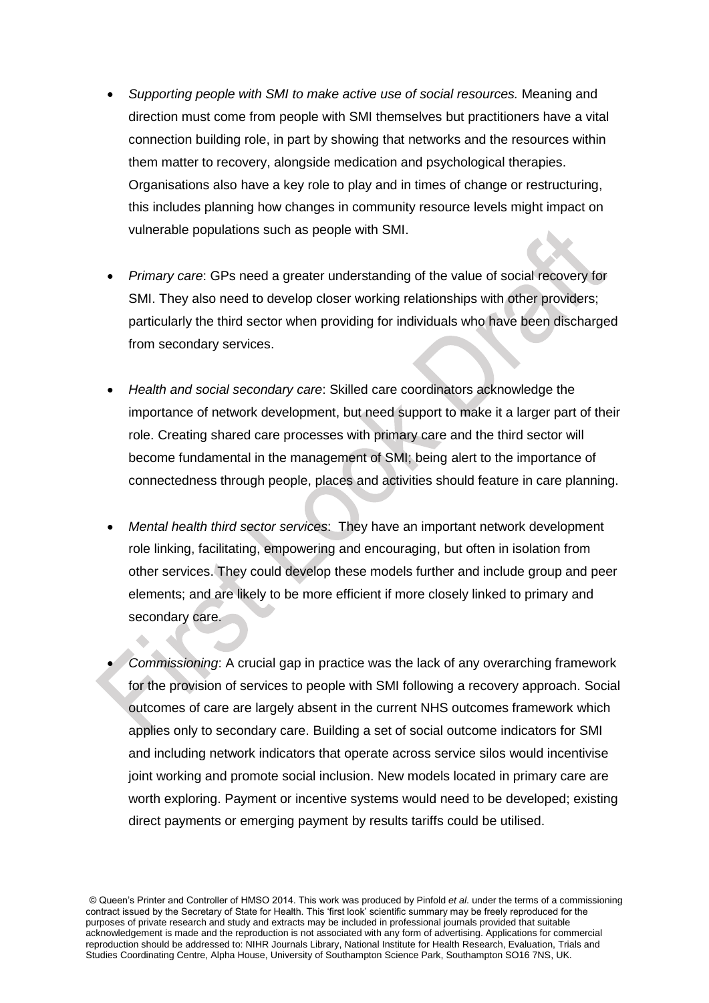- *Supporting people with SMI to make active use of social resources.* Meaning and direction must come from people with SMI themselves but practitioners have a vital connection building role, in part by showing that networks and the resources within them matter to recovery, alongside medication and psychological therapies. Organisations also have a key role to play and in times of change or restructuring, this includes planning how changes in community resource levels might impact on vulnerable populations such as people with SMI.
- *Primary care*: GPs need a greater understanding of the value of social recovery for SMI. They also need to develop closer working relationships with other providers; particularly the third sector when providing for individuals who have been discharged from secondary services.
- *Health and social secondary care*: Skilled care coordinators acknowledge the importance of network development, but need support to make it a larger part of their role. Creating shared care processes with primary care and the third sector will become fundamental in the management of SMI; being alert to the importance of connectedness through people, places and activities should feature in care planning.
- *Mental health third sector services*: They have an important network development role linking, facilitating, empowering and encouraging, but often in isolation from other services. They could develop these models further and include group and peer elements; and are likely to be more efficient if more closely linked to primary and secondary care.
- *Commissioning*: A crucial gap in practice was the lack of any overarching framework for the provision of services to people with SMI following a recovery approach. Social outcomes of care are largely absent in the current NHS outcomes framework which applies only to secondary care. Building a set of social outcome indicators for SMI and including network indicators that operate across service silos would incentivise joint working and promote social inclusion. New models located in primary care are worth exploring. Payment or incentive systems would need to be developed; existing direct payments or emerging payment by results tariffs could be utilised.

<sup>©</sup> Queen's Printer and Controller of HMSO 2014. This work was produced by Pinfold *et al*. under the terms of a commissioning contract issued by the Secretary of State for Health. This 'first look' scientific summary may be freely reproduced for the purposes of private research and study and extracts may be included in professional journals provided that suitable acknowledgement is made and the reproduction is not associated with any form of advertising. Applications for commercial reproduction should be addressed to: NIHR Journals Library, National Institute for Health Research, Evaluation, Trials and Studies Coordinating Centre, Alpha House, University of Southampton Science Park, Southampton SO16 7NS, UK.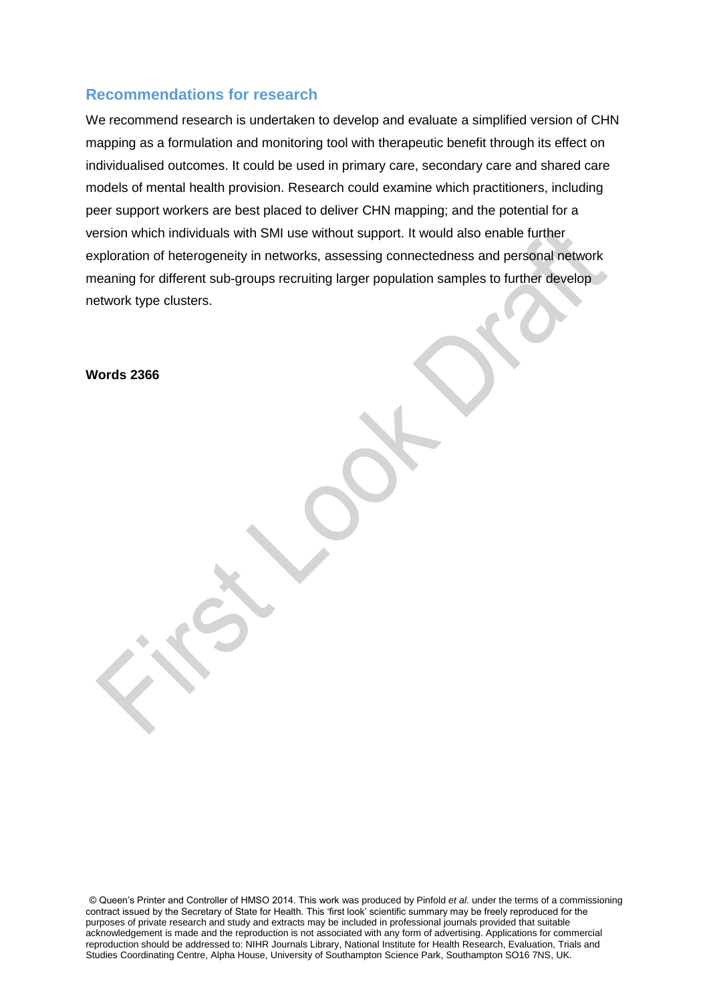### **Recommendations for research**

We recommend research is undertaken to develop and evaluate a simplified version of CHN mapping as a formulation and monitoring tool with therapeutic benefit through its effect on individualised outcomes. It could be used in primary care, secondary care and shared care models of mental health provision. Research could examine which practitioners, including peer support workers are best placed to deliver CHN mapping; and the potential for a version which individuals with SMI use without support. It would also enable further exploration of heterogeneity in networks, assessing connectedness and personal network meaning for different sub-groups recruiting larger population samples to further develop network type clusters.

**Words 2366**